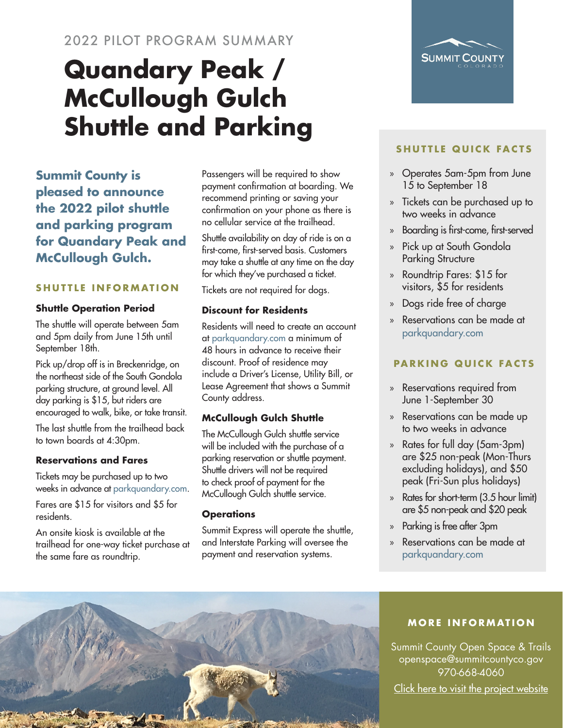### 2022 PILOT PROGRAM SUMMARY

# **Quandary Peak / McCullough Gulch Shuttle and Parking**

**Summit County is pleased to announce the 2022 pilot shuttle and parking program for Quandary Peak and McCullough Gulch.**

#### **SHUTTLE INFORMATION**

#### **Shuttle Operation Period**

The shuttle will operate between 5am and 5pm daily from June 15th until September 18th.

Pick up/drop off is in Breckenridge, on the northeast side of the South Gondola parking structure, at ground level. All day parking is \$15, but riders are encouraged to walk, bike, or take transit.

The last shuttle from the trailhead back to town boards at 4:30pm.

#### **Reservations and Fares**

Tickets may be purchased up to two weeks in advance at [parkquandary.com.](http://parkquandary.com)

Fares are \$15 for visitors and \$5 for residents.

An onsite kiosk is available at the trailhead for one-way ticket purchase at the same fare as roundtrip.

Passengers will be required to show payment confirmation at boarding. We recommend printing or saving your confirmation on your phone as there is no cellular service at the trailhead.

Shuttle availability on day of ride is on a first-come, first-served basis. Customers may take a shuttle at any time on the day for which they've purchased a ticket.

Tickets are not required for dogs.

#### **Discount for Residents**

Residents will need to create an account at [parkquandary.com](http://parkquandary.com) a minimum of 48 hours in advance to receive their discount. Proof of residence may include a Driver's License, Utility Bill, or Lease Agreement that shows a Summit County address.

#### **McCullough Gulch Shuttle**

The McCullough Gulch shuttle service will be included with the purchase of a parking reservation or shuttle payment. Shuttle drivers will not be required to check proof of payment for the McCullough Gulch shuttle service.

#### **Operations**

Summit Express will operate the shuttle, and Interstate Parking will oversee the payment and reservation systems.

## **SHUTTLE QUICK FACTS**

SUMMIT COUN

- » Operates 5am-5pm from June 15 to September 18
- » Tickets can be purchased up to two weeks in advance
- » Boarding is first-come, first-served
- » Pick up at South Gondola Parking Structure
- » Roundtrip Fares: \$15 for visitors, \$5 for residents
- » Dogs ride free of charge
- » Reservations can be made at [parkquandary.com](http://parkquandary.com)

#### **PARKING QUICK FACTS**

- » Reservations required from June 1-September 30
- » Reservations can be made up to two weeks in advance
- » Rates for full day (5am-3pm) are \$25 non-peak (Mon-Thurs excluding holidays), and \$50 peak (Fri-Sun plus holidays)
- » Rates for short-term (3.5 hour limit) are \$5 non-peak and \$20 peak
- » Parking is free after 3pm
- » Reservations can be made at [parkquandary.com](http://parkquandary.com)



#### **MORE INFORMATION**

Summit County Open Space & Trails openspace@summitcountyco.gov 970-668-4060 [Click here to visit the project website](https://bit.ly/3w5cH2Y)